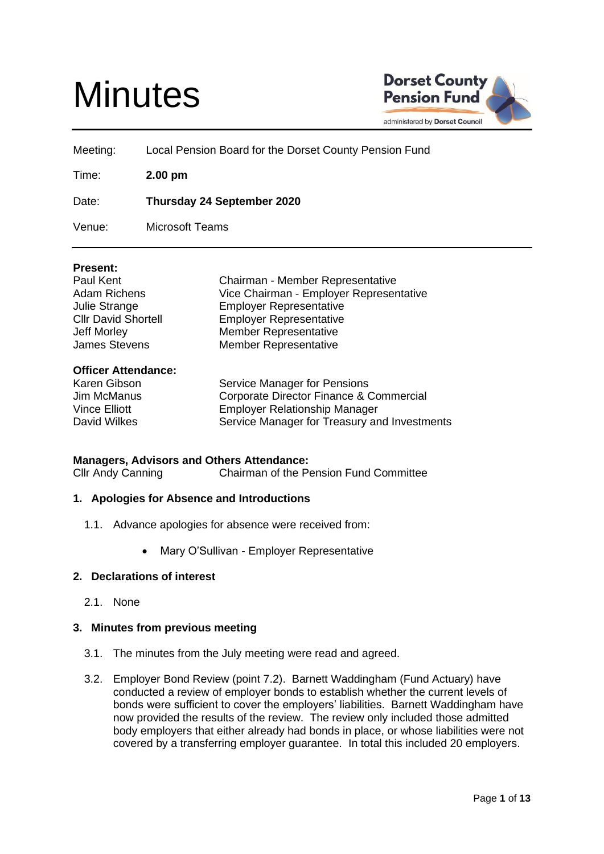# **Minutes**



Meeting: Local Pension Board for the Dorset County Pension Fund

Time: **2.00 pm**

Date: **Thursday 24 September 2020**

Venue: Microsoft Teams

# **Present:**

| Paul Kent                  |
|----------------------------|
| Adam Richens               |
| Julie Strange              |
| <b>Cllr David Shortell</b> |
| <b>Jeff Morley</b>         |
| <b>James Stevens</b>       |

#### **Officer Attendance:**

| Karen Gibson  | Service Manager for Pensions                 |
|---------------|----------------------------------------------|
| Jim McManus   | Corporate Director Finance & Commercial      |
| Vince Elliott | Employer Relationship Manager                |
| David Wilkes  | Service Manager for Treasury and Investments |

Chairman - Member Representative Vice Chairman - Employer Representative

**Employer Representative Employer Representative** Member Representative Member Representative

#### **Managers, Advisors and Others Attendance:**

Cllr Andy Canning Chairman of the Pension Fund Committee

#### **1. Apologies for Absence and Introductions**

- 1.1. Advance apologies for absence were received from:
	- Mary O'Sullivan Employer Representative

# **2. Declarations of interest**

2.1. None

#### **3. Minutes from previous meeting**

- 3.1. The minutes from the July meeting were read and agreed.
- 3.2. Employer Bond Review (point 7.2). Barnett Waddingham (Fund Actuary) have conducted a review of employer bonds to establish whether the current levels of bonds were sufficient to cover the employers' liabilities. Barnett Waddingham have now provided the results of the review. The review only included those admitted body employers that either already had bonds in place, or whose liabilities were not covered by a transferring employer guarantee. In total this included 20 employers.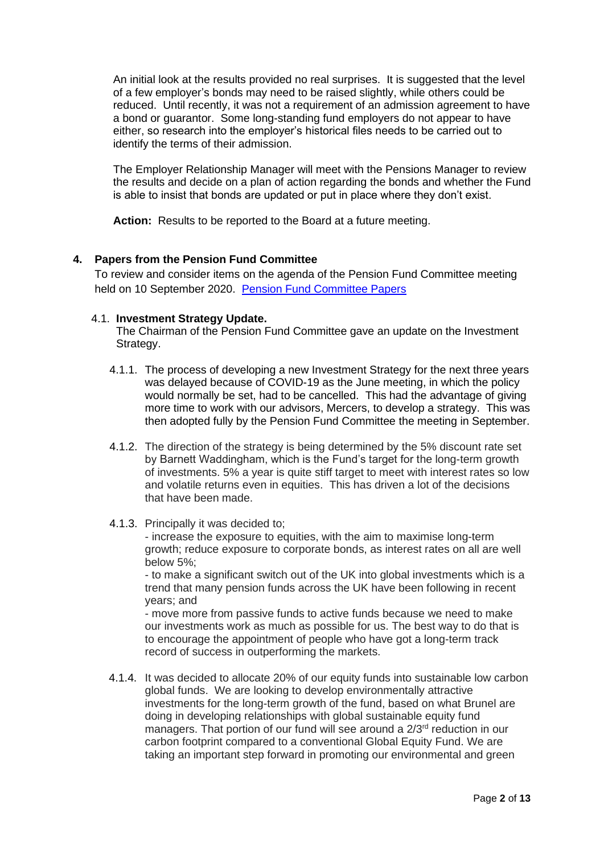An initial look at the results provided no real surprises. It is suggested that the level of a few employer's bonds may need to be raised slightly, while others could be reduced. Until recently, it was not a requirement of an admission agreement to have a bond or guarantor. Some long-standing fund employers do not appear to have either, so research into the employer's historical files needs to be carried out to identify the terms of their admission.

The Employer Relationship Manager will meet with the Pensions Manager to review the results and decide on a plan of action regarding the bonds and whether the Fund is able to insist that bonds are updated or put in place where they don't exist.

**Action:** Results to be reported to the Board at a future meeting.

# **4. Papers from the Pension Fund Committee**

To review and consider items on the agenda of the Pension Fund Committee meeting held on 10 September 2020. [Pension Fund Committee Papers](https://moderngov.dorsetcouncil.gov.uk/ieListDocuments.aspx?CId=434&MId=4777&Ver=4)

# 4.1. **Investment Strategy Update.**

The Chairman of the Pension Fund Committee gave an update on the Investment Strategy.

- 4.1.1. The process of developing a new Investment Strategy for the next three years was delayed because of COVID-19 as the June meeting, in which the policy would normally be set, had to be cancelled. This had the advantage of giving more time to work with our advisors, Mercers, to develop a strategy. This was then adopted fully by the Pension Fund Committee the meeting in September.
- 4.1.2. The direction of the strategy is being determined by the 5% discount rate set by Barnett Waddingham, which is the Fund's target for the long-term growth of investments. 5% a year is quite stiff target to meet with interest rates so low and volatile returns even in equities. This has driven a lot of the decisions that have been made.
- 4.1.3. Principally it was decided to;

- increase the exposure to equities, with the aim to maximise long-term growth; reduce exposure to corporate bonds, as interest rates on all are well below 5%;

- to make a significant switch out of the UK into global investments which is a trend that many pension funds across the UK have been following in recent years; and

- move more from passive funds to active funds because we need to make our investments work as much as possible for us. The best way to do that is to encourage the appointment of people who have got a long-term track record of success in outperforming the markets.

4.1.4. It was decided to allocate 20% of our equity funds into sustainable low carbon global funds. We are looking to develop environmentally attractive investments for the long-term growth of the fund, based on what Brunel are doing in developing relationships with global sustainable equity fund managers. That portion of our fund will see around a 2/3<sup>rd</sup> reduction in our carbon footprint compared to a conventional Global Equity Fund. We are taking an important step forward in promoting our environmental and green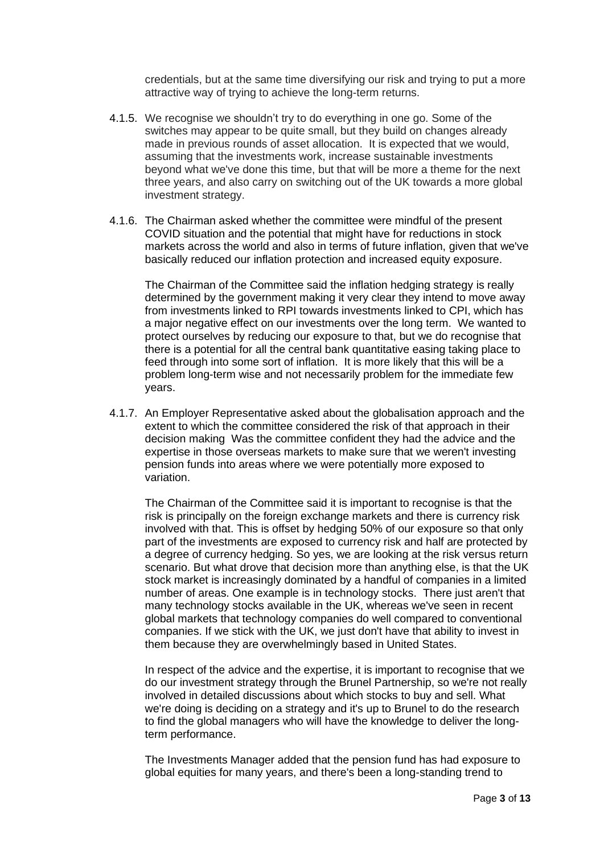credentials, but at the same time diversifying our risk and trying to put a more attractive way of trying to achieve the long-term returns.

- 4.1.5. We recognise we shouldn't try to do everything in one go. Some of the switches may appear to be quite small, but they build on changes already made in previous rounds of asset allocation. It is expected that we would, assuming that the investments work, increase sustainable investments beyond what we've done this time, but that will be more a theme for the next three years, and also carry on switching out of the UK towards a more global investment strategy.
- 4.1.6. The Chairman asked whether the committee were mindful of the present COVID situation and the potential that might have for reductions in stock markets across the world and also in terms of future inflation, given that we've basically reduced our inflation protection and increased equity exposure.

The Chairman of the Committee said the inflation hedging strategy is really determined by the government making it very clear they intend to move away from investments linked to RPI towards investments linked to CPI, which has a major negative effect on our investments over the long term. We wanted to protect ourselves by reducing our exposure to that, but we do recognise that there is a potential for all the central bank quantitative easing taking place to feed through into some sort of inflation. It is more likely that this will be a problem long-term wise and not necessarily problem for the immediate few years.

4.1.7. An Employer Representative asked about the globalisation approach and the extent to which the committee considered the risk of that approach in their decision making Was the committee confident they had the advice and the expertise in those overseas markets to make sure that we weren't investing pension funds into areas where we were potentially more exposed to variation.

The Chairman of the Committee said it is important to recognise is that the risk is principally on the foreign exchange markets and there is currency risk involved with that. This is offset by hedging 50% of our exposure so that only part of the investments are exposed to currency risk and half are protected by a degree of currency hedging. So yes, we are looking at the risk versus return scenario. But what drove that decision more than anything else, is that the UK stock market is increasingly dominated by a handful of companies in a limited number of areas. One example is in technology stocks. There just aren't that many technology stocks available in the UK, whereas we've seen in recent global markets that technology companies do well compared to conventional companies. If we stick with the UK, we just don't have that ability to invest in them because they are overwhelmingly based in United States.

In respect of the advice and the expertise, it is important to recognise that we do our investment strategy through the Brunel Partnership, so we're not really involved in detailed discussions about which stocks to buy and sell. What we're doing is deciding on a strategy and it's up to Brunel to do the research to find the global managers who will have the knowledge to deliver the longterm performance.

The Investments Manager added that the pension fund has had exposure to global equities for many years, and there's been a long-standing trend to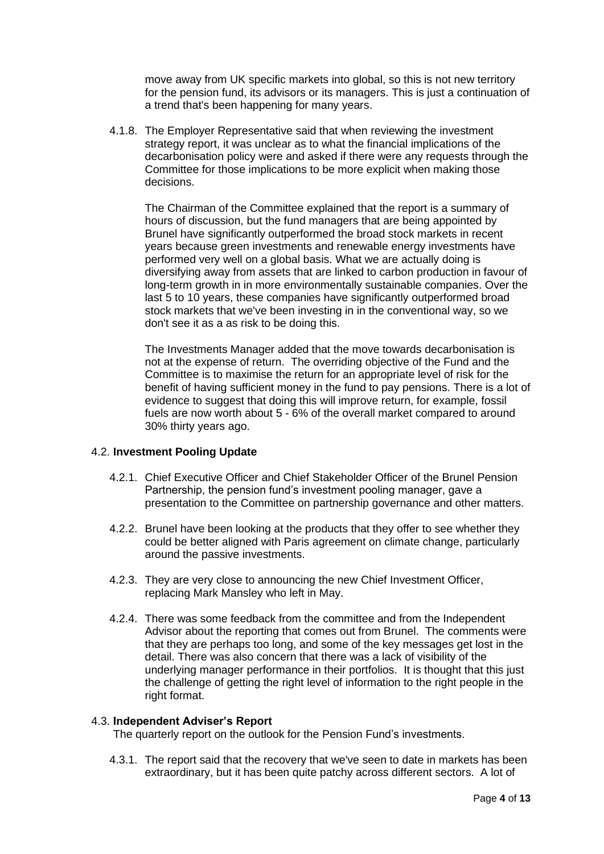move away from UK specific markets into global, so this is not new territory for the pension fund, its advisors or its managers. This is just a continuation of a trend that's been happening for many years.

4.1.8. The Employer Representative said that when reviewing the investment strategy report, it was unclear as to what the financial implications of the decarbonisation policy were and asked if there were any requests through the Committee for those implications to be more explicit when making those decisions.

The Chairman of the Committee explained that the report is a summary of hours of discussion, but the fund managers that are being appointed by Brunel have significantly outperformed the broad stock markets in recent years because green investments and renewable energy investments have performed very well on a global basis. What we are actually doing is diversifying away from assets that are linked to carbon production in favour of long-term growth in in more environmentally sustainable companies. Over the last 5 to 10 years, these companies have significantly outperformed broad stock markets that we've been investing in in the conventional way, so we don't see it as a as risk to be doing this.

The Investments Manager added that the move towards decarbonisation is not at the expense of return. The overriding objective of the Fund and the Committee is to maximise the return for an appropriate level of risk for the benefit of having sufficient money in the fund to pay pensions. There is a lot of evidence to suggest that doing this will improve return, for example, fossil fuels are now worth about 5 - 6% of the overall market compared to around 30% thirty years ago.

# 4.2. **Investment Pooling Update**

- 4.2.1. Chief Executive Officer and Chief Stakeholder Officer of the Brunel Pension Partnership, the pension fund's investment pooling manager, gave a presentation to the Committee on partnership governance and other matters.
- 4.2.2. Brunel have been looking at the products that they offer to see whether they could be better aligned with Paris agreement on climate change, particularly around the passive investments.
- 4.2.3. They are very close to announcing the new Chief Investment Officer, replacing Mark Mansley who left in May.
- 4.2.4. There was some feedback from the committee and from the Independent Advisor about the reporting that comes out from Brunel. The comments were that they are perhaps too long, and some of the key messages get lost in the detail. There was also concern that there was a lack of visibility of the underlying manager performance in their portfolios. It is thought that this just the challenge of getting the right level of information to the right people in the right format.

#### 4.3. **Independent Adviser's Report**

The quarterly report on the outlook for the Pension Fund's investments.

4.3.1. The report said that the recovery that we've seen to date in markets has been extraordinary, but it has been quite patchy across different sectors. A lot of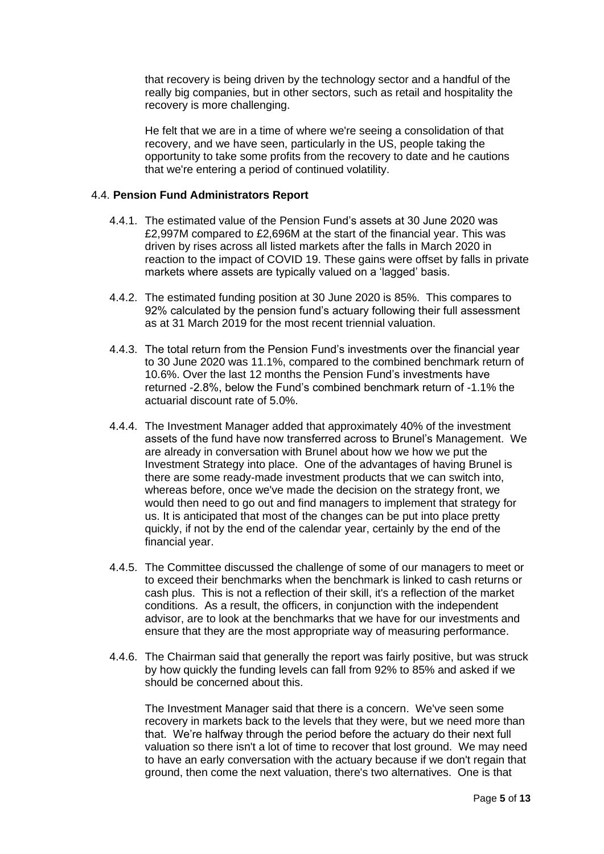that recovery is being driven by the technology sector and a handful of the really big companies, but in other sectors, such as retail and hospitality the recovery is more challenging.

He felt that we are in a time of where we're seeing a consolidation of that recovery, and we have seen, particularly in the US, people taking the opportunity to take some profits from the recovery to date and he cautions that we're entering a period of continued volatility.

## 4.4. **Pension Fund Administrators Report**

- 4.4.1. The estimated value of the Pension Fund's assets at 30 June 2020 was £2,997M compared to £2,696M at the start of the financial year. This was driven by rises across all listed markets after the falls in March 2020 in reaction to the impact of COVID 19. These gains were offset by falls in private markets where assets are typically valued on a 'lagged' basis.
- 4.4.2. The estimated funding position at 30 June 2020 is 85%. This compares to 92% calculated by the pension fund's actuary following their full assessment as at 31 March 2019 for the most recent triennial valuation.
- 4.4.3. The total return from the Pension Fund's investments over the financial year to 30 June 2020 was 11.1%, compared to the combined benchmark return of 10.6%. Over the last 12 months the Pension Fund's investments have returned -2.8%, below the Fund's combined benchmark return of -1.1% the actuarial discount rate of 5.0%.
- 4.4.4. The Investment Manager added that approximately 40% of the investment assets of the fund have now transferred across to Brunel's Management. We are already in conversation with Brunel about how we how we put the Investment Strategy into place. One of the advantages of having Brunel is there are some ready-made investment products that we can switch into, whereas before, once we've made the decision on the strategy front, we would then need to go out and find managers to implement that strategy for us. It is anticipated that most of the changes can be put into place pretty quickly, if not by the end of the calendar year, certainly by the end of the financial year.
- 4.4.5. The Committee discussed the challenge of some of our managers to meet or to exceed their benchmarks when the benchmark is linked to cash returns or cash plus. This is not a reflection of their skill, it's a reflection of the market conditions. As a result, the officers, in conjunction with the independent advisor, are to look at the benchmarks that we have for our investments and ensure that they are the most appropriate way of measuring performance.
- 4.4.6. The Chairman said that generally the report was fairly positive, but was struck by how quickly the funding levels can fall from 92% to 85% and asked if we should be concerned about this.

The Investment Manager said that there is a concern. We've seen some recovery in markets back to the levels that they were, but we need more than that. We're halfway through the period before the actuary do their next full valuation so there isn't a lot of time to recover that lost ground. We may need to have an early conversation with the actuary because if we don't regain that ground, then come the next valuation, there's two alternatives. One is that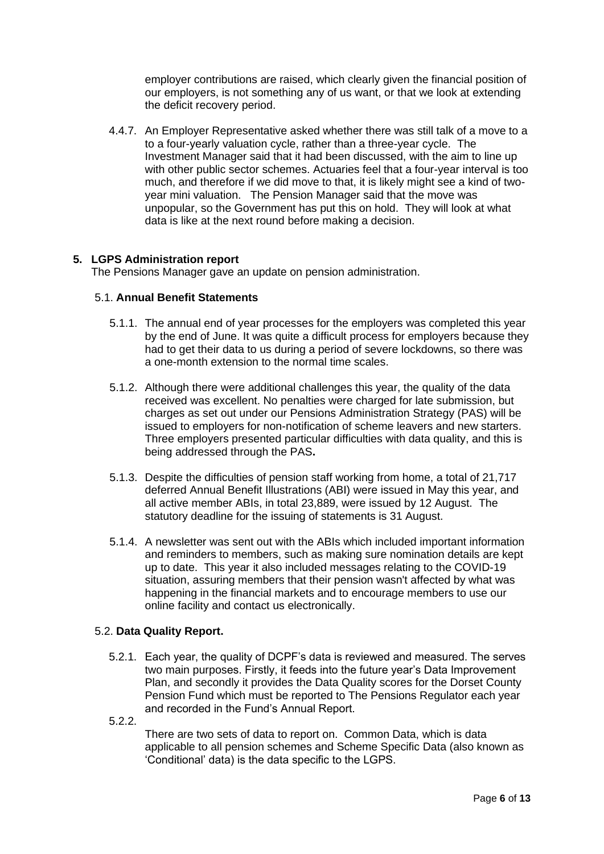employer contributions are raised, which clearly given the financial position of our employers, is not something any of us want, or that we look at extending the deficit recovery period.

4.4.7. An Employer Representative asked whether there was still talk of a move to a to a four-yearly valuation cycle, rather than a three-year cycle. The Investment Manager said that it had been discussed, with the aim to line up with other public sector schemes. Actuaries feel that a four-year interval is too much, and therefore if we did move to that, it is likely might see a kind of twoyear mini valuation. The Pension Manager said that the move was unpopular, so the Government has put this on hold. They will look at what data is like at the next round before making a decision.

# **5. LGPS Administration report**

The Pensions Manager gave an update on pension administration.

## 5.1. **Annual Benefit Statements**

- 5.1.1. The annual end of year processes for the employers was completed this year by the end of June. It was quite a difficult process for employers because they had to get their data to us during a period of severe lockdowns, so there was a one-month extension to the normal time scales.
- 5.1.2. Although there were additional challenges this year, the quality of the data received was excellent. No penalties were charged for late submission, but charges as set out under our Pensions Administration Strategy (PAS) will be issued to employers for non-notification of scheme leavers and new starters. Three employers presented particular difficulties with data quality, and this is being addressed through the PAS**.**
- 5.1.3. Despite the difficulties of pension staff working from home, a total of 21,717 deferred Annual Benefit Illustrations (ABI) were issued in May this year, and all active member ABIs, in total 23,889, were issued by 12 August. The statutory deadline for the issuing of statements is 31 August.
- 5.1.4. A newsletter was sent out with the ABIs which included important information and reminders to members, such as making sure nomination details are kept up to date. This year it also included messages relating to the COVID-19 situation, assuring members that their pension wasn't affected by what was happening in the financial markets and to encourage members to use our online facility and contact us electronically.

# 5.2. **Data Quality Report.**

- 5.2.1. Each year, the quality of DCPF's data is reviewed and measured. The serves two main purposes. Firstly, it feeds into the future year's Data Improvement Plan, and secondly it provides the Data Quality scores for the Dorset County Pension Fund which must be reported to The Pensions Regulator each year and recorded in the Fund's Annual Report.
- 5.2.2.

There are two sets of data to report on. Common Data, which is data applicable to all pension schemes and Scheme Specific Data (also known as 'Conditional' data) is the data specific to the LGPS.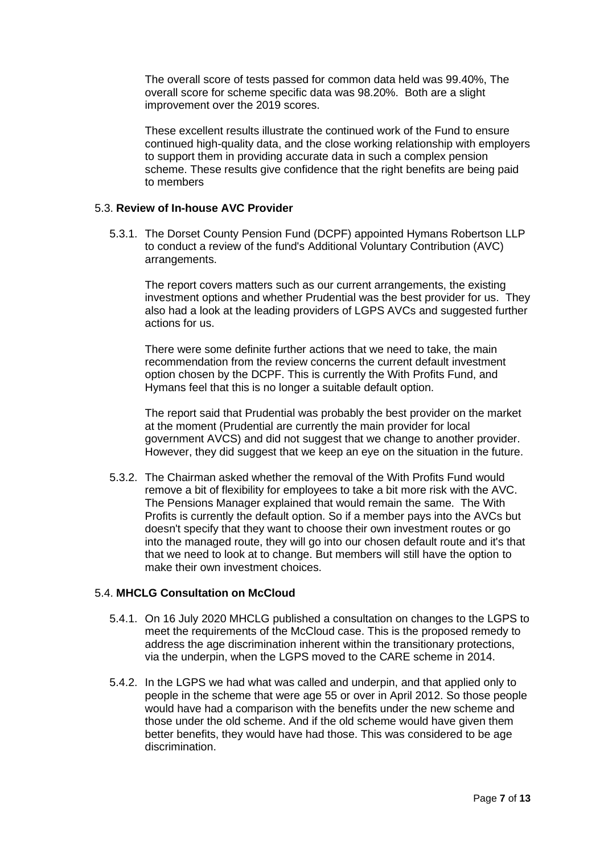The overall score of tests passed for common data held was 99.40%, The overall score for scheme specific data was 98.20%. Both are a slight improvement over the 2019 scores.

These excellent results illustrate the continued work of the Fund to ensure continued high-quality data, and the close working relationship with employers to support them in providing accurate data in such a complex pension scheme. These results give confidence that the right benefits are being paid to members

## 5.3. **Review of In-house AVC Provider**

5.3.1. The Dorset County Pension Fund (DCPF) appointed Hymans Robertson LLP to conduct a review of the fund's Additional Voluntary Contribution (AVC) arrangements.

The report covers matters such as our current arrangements, the existing investment options and whether Prudential was the best provider for us. They also had a look at the leading providers of LGPS AVCs and suggested further actions for us.

There were some definite further actions that we need to take, the main recommendation from the review concerns the current default investment option chosen by the DCPF. This is currently the With Profits Fund, and Hymans feel that this is no longer a suitable default option.

The report said that Prudential was probably the best provider on the market at the moment (Prudential are currently the main provider for local government AVCS) and did not suggest that we change to another provider. However, they did suggest that we keep an eye on the situation in the future.

5.3.2. The Chairman asked whether the removal of the With Profits Fund would remove a bit of flexibility for employees to take a bit more risk with the AVC. The Pensions Manager explained that would remain the same. The With Profits is currently the default option. So if a member pays into the AVCs but doesn't specify that they want to choose their own investment routes or go into the managed route, they will go into our chosen default route and it's that that we need to look at to change. But members will still have the option to make their own investment choices.

# 5.4. **MHCLG Consultation on McCloud**

- 5.4.1. On 16 July 2020 MHCLG published a consultation on changes to the LGPS to meet the requirements of the McCloud case. This is the proposed remedy to address the age discrimination inherent within the transitionary protections, via the underpin, when the LGPS moved to the CARE scheme in 2014.
- 5.4.2. In the LGPS we had what was called and underpin, and that applied only to people in the scheme that were age 55 or over in April 2012. So those people would have had a comparison with the benefits under the new scheme and those under the old scheme. And if the old scheme would have given them better benefits, they would have had those. This was considered to be age discrimination.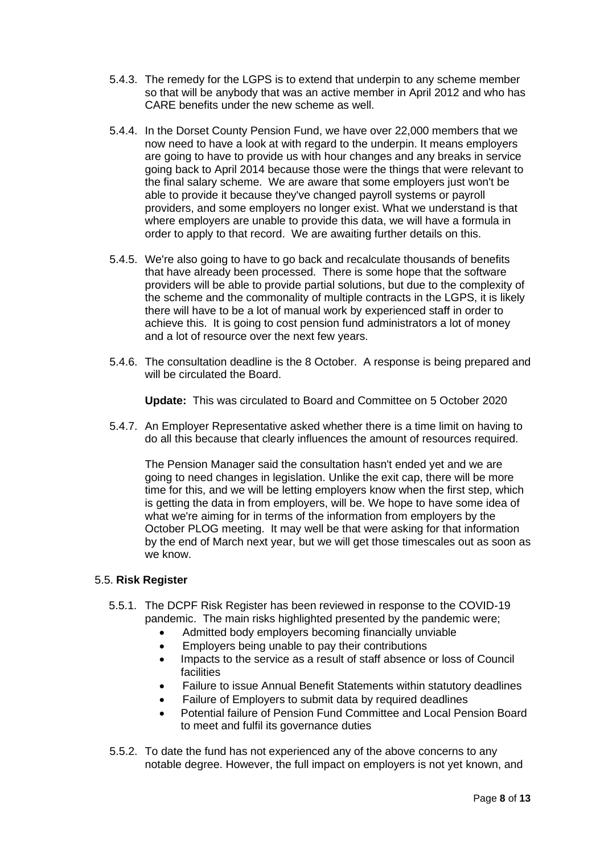- 5.4.3. The remedy for the LGPS is to extend that underpin to any scheme member so that will be anybody that was an active member in April 2012 and who has CARE benefits under the new scheme as well.
- 5.4.4. In the Dorset County Pension Fund, we have over 22,000 members that we now need to have a look at with regard to the underpin. It means employers are going to have to provide us with hour changes and any breaks in service going back to April 2014 because those were the things that were relevant to the final salary scheme. We are aware that some employers just won't be able to provide it because they've changed payroll systems or payroll providers, and some employers no longer exist. What we understand is that where employers are unable to provide this data, we will have a formula in order to apply to that record. We are awaiting further details on this.
- 5.4.5. We're also going to have to go back and recalculate thousands of benefits that have already been processed. There is some hope that the software providers will be able to provide partial solutions, but due to the complexity of the scheme and the commonality of multiple contracts in the LGPS, it is likely there will have to be a lot of manual work by experienced staff in order to achieve this. It is going to cost pension fund administrators a lot of money and a lot of resource over the next few years.
- 5.4.6. The consultation deadline is the 8 October. A response is being prepared and will be circulated the Board.

**Update:** This was circulated to Board and Committee on 5 October 2020

5.4.7. An Employer Representative asked whether there is a time limit on having to do all this because that clearly influences the amount of resources required.

The Pension Manager said the consultation hasn't ended yet and we are going to need changes in legislation. Unlike the exit cap, there will be more time for this, and we will be letting employers know when the first step, which is getting the data in from employers, will be. We hope to have some idea of what we're aiming for in terms of the information from employers by the October PLOG meeting. It may well be that were asking for that information by the end of March next year, but we will get those timescales out as soon as we know.

#### 5.5. **Risk Register**

- 5.5.1. The DCPF Risk Register has been reviewed in response to the COVID-19 pandemic. The main risks highlighted presented by the pandemic were;
	- Admitted body employers becoming financially unviable
	- Employers being unable to pay their contributions
	- Impacts to the service as a result of staff absence or loss of Council facilities
	- Failure to issue Annual Benefit Statements within statutory deadlines
	- Failure of Employers to submit data by required deadlines
	- Potential failure of Pension Fund Committee and Local Pension Board to meet and fulfil its governance duties
- 5.5.2. To date the fund has not experienced any of the above concerns to any notable degree. However, the full impact on employers is not yet known, and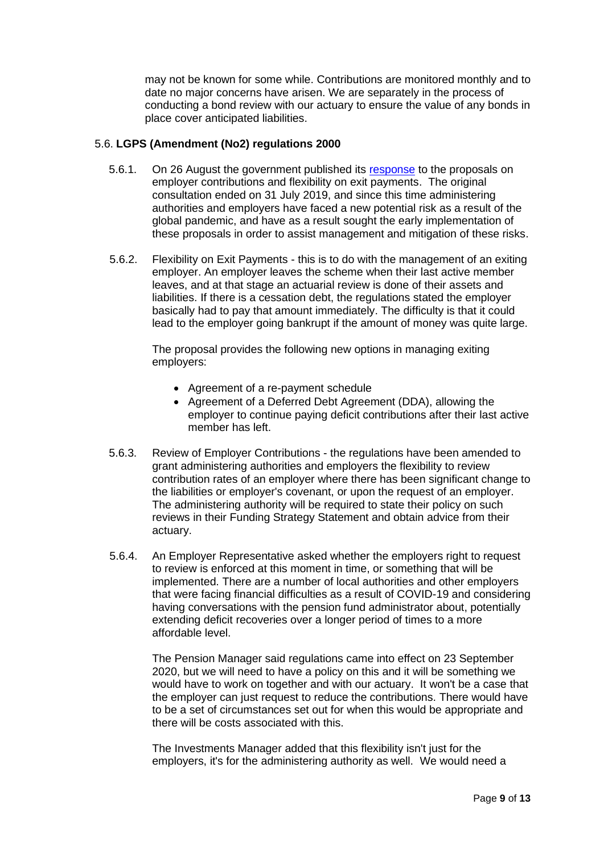may not be known for some while. Contributions are monitored monthly and to date no major concerns have arisen. We are separately in the process of conducting a bond review with our actuary to ensure the value of any bonds in place cover anticipated liabilities.

# 5.6. **LGPS (Amendment (No2) regulations 2000**

- 5.6.1. On 26 August the government published its [response](https://assets.publishing.service.gov.uk/government/uploads/system/uploads/attachment_data/file/911792/Government_response_Exit_payments_and_review_employer_contributions.pdf) to the proposals on employer contributions and flexibility on exit payments. The original consultation ended on 31 July 2019, and since this time administering authorities and employers have faced a new potential risk as a result of the global pandemic, and have as a result sought the early implementation of these proposals in order to assist management and mitigation of these risks.
- 5.6.2. Flexibility on Exit Payments this is to do with the management of an exiting employer. An employer leaves the scheme when their last active member leaves, and at that stage an actuarial review is done of their assets and liabilities. If there is a cessation debt, the regulations stated the employer basically had to pay that amount immediately. The difficulty is that it could lead to the employer going bankrupt if the amount of money was quite large.

The proposal provides the following new options in managing exiting employers:

- Agreement of a re-payment schedule
- Agreement of a Deferred Debt Agreement (DDA), allowing the employer to continue paying deficit contributions after their last active member has left.
- 5.6.3. Review of Employer Contributions the regulations have been amended to grant administering authorities and employers the flexibility to review contribution rates of an employer where there has been significant change to the liabilities or employer's covenant, or upon the request of an employer. The administering authority will be required to state their policy on such reviews in their Funding Strategy Statement and obtain advice from their actuary.
- 5.6.4. An Employer Representative asked whether the employers right to request to review is enforced at this moment in time, or something that will be implemented. There are a number of local authorities and other employers that were facing financial difficulties as a result of COVID-19 and considering having conversations with the pension fund administrator about, potentially extending deficit recoveries over a longer period of times to a more affordable level.

The Pension Manager said regulations came into effect on 23 September 2020, but we will need to have a policy on this and it will be something we would have to work on together and with our actuary. It won't be a case that the employer can just request to reduce the contributions. There would have to be a set of circumstances set out for when this would be appropriate and there will be costs associated with this.

The Investments Manager added that this flexibility isn't just for the employers, it's for the administering authority as well. We would need a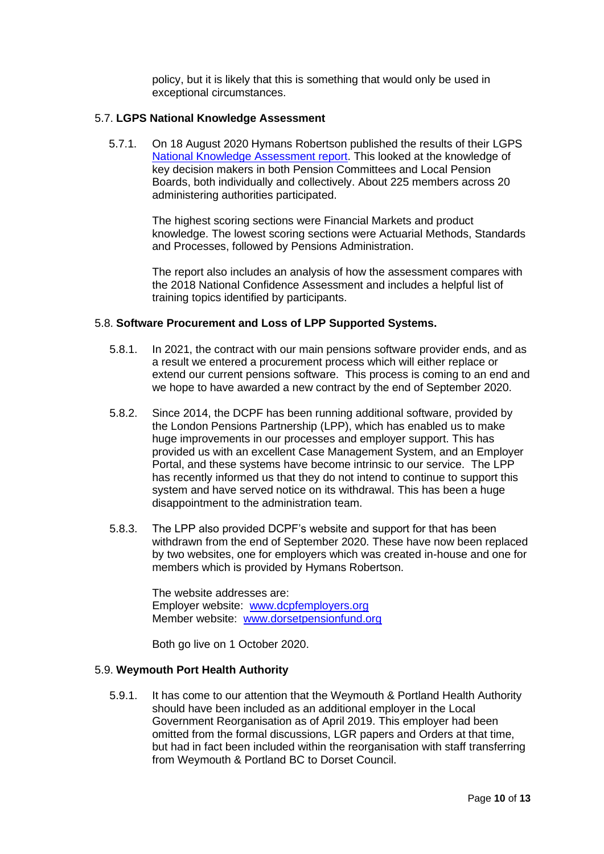policy, but it is likely that this is something that would only be used in exceptional circumstances.

# 5.7. **LGPS National Knowledge Assessment**

5.7.1. On 18 August 2020 Hymans Robertson published the results of their LGPS [National Knowledge Assessment report.](https://www.hymans.co.uk/media/uploads/LGPS_National_Knowledge_Assessment_Report.pdf) This looked at the knowledge of key decision makers in both Pension Committees and Local Pension Boards, both individually and collectively. About 225 members across 20 administering authorities participated.

> The highest scoring sections were Financial Markets and product knowledge. The lowest scoring sections were Actuarial Methods, Standards and Processes, followed by Pensions Administration.

> The report also includes an analysis of how the assessment compares with the 2018 National Confidence Assessment and includes a helpful list of training topics identified by participants.

#### 5.8. **Software Procurement and Loss of LPP Supported Systems.**

- 5.8.1. In 2021, the contract with our main pensions software provider ends, and as a result we entered a procurement process which will either replace or extend our current pensions software. This process is coming to an end and we hope to have awarded a new contract by the end of September 2020.
- 5.8.2. Since 2014, the DCPF has been running additional software, provided by the London Pensions Partnership (LPP), which has enabled us to make huge improvements in our processes and employer support. This has provided us with an excellent Case Management System, and an Employer Portal, and these systems have become intrinsic to our service. The LPP has recently informed us that they do not intend to continue to support this system and have served notice on its withdrawal. This has been a huge disappointment to the administration team.
- 5.8.3. The LPP also provided DCPF's website and support for that has been withdrawn from the end of September 2020. These have now been replaced by two websites, one for employers which was created in-house and one for members which is provided by Hymans Robertson.

The website addresses are: Employer website: [www.dcpfemployers.org](http://www.dcpfemployers.org/) Member website: [www.dorsetpensionfund.org](http://www.dorsetpensionfund.org/)

Both go live on 1 October 2020.

#### 5.9. **Weymouth Port Health Authority**

5.9.1. It has come to our attention that the Weymouth & Portland Health Authority should have been included as an additional employer in the Local Government Reorganisation as of April 2019. This employer had been omitted from the formal discussions, LGR papers and Orders at that time, but had in fact been included within the reorganisation with staff transferring from Weymouth & Portland BC to Dorset Council.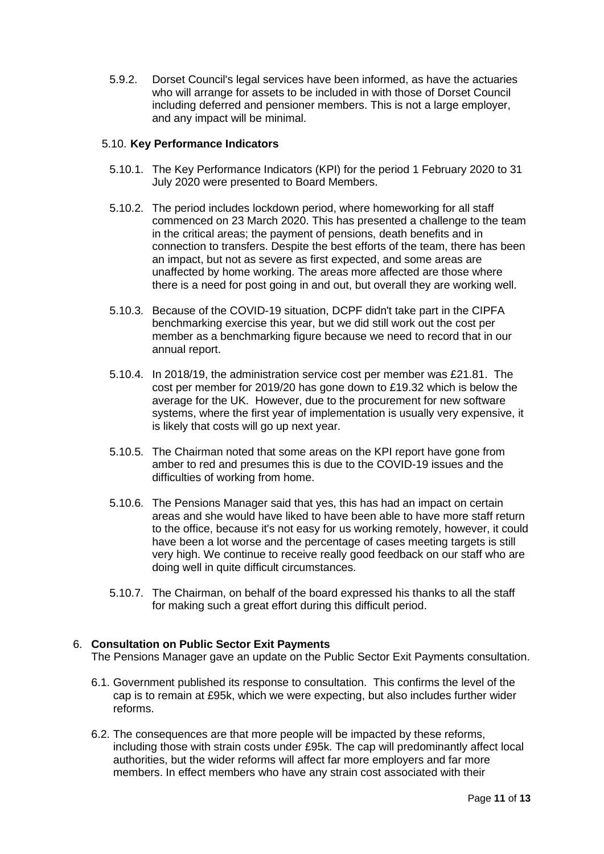5.9.2. Dorset Council's legal services have been informed, as have the actuaries who will arrange for assets to be included in with those of Dorset Council including deferred and pensioner members. This is not a large employer, and any impact will be minimal.

## 5.10. **Key Performance Indicators**

- 5.10.1. The Key Performance Indicators (KPI) for the period 1 February 2020 to 31 July 2020 were presented to Board Members.
- 5.10.2. The period includes lockdown period, where homeworking for all staff commenced on 23 March 2020. This has presented a challenge to the team in the critical areas; the payment of pensions, death benefits and in connection to transfers. Despite the best efforts of the team, there has been an impact, but not as severe as first expected, and some areas are unaffected by home working. The areas more affected are those where there is a need for post going in and out, but overall they are working well.
- 5.10.3. Because of the COVID-19 situation, DCPF didn't take part in the CIPFA benchmarking exercise this year, but we did still work out the cost per member as a benchmarking figure because we need to record that in our annual report.
- 5.10.4. In 2018/19, the administration service cost per member was £21.81. The cost per member for 2019/20 has gone down to £19.32 which is below the average for the UK. However, due to the procurement for new software systems, where the first year of implementation is usually very expensive, it is likely that costs will go up next year.
- 5.10.5. The Chairman noted that some areas on the KPI report have gone from amber to red and presumes this is due to the COVID-19 issues and the difficulties of working from home.
- 5.10.6. The Pensions Manager said that yes, this has had an impact on certain areas and she would have liked to have been able to have more staff return to the office, because it's not easy for us working remotely, however, it could have been a lot worse and the percentage of cases meeting targets is still very high. We continue to receive really good feedback on our staff who are doing well in quite difficult circumstances.
- 5.10.7. The Chairman, on behalf of the board expressed his thanks to all the staff for making such a great effort during this difficult period.

# 6. **Consultation on Public Sector Exit Payments**

The Pensions Manager gave an update on the Public Sector Exit Payments consultation.

- 6.1. Government published its response to consultation. This confirms the level of the cap is to remain at £95k, which we were expecting, but also includes further wider reforms.
- 6.2. The consequences are that more people will be impacted by these reforms, including those with strain costs under £95k. The cap will predominantly affect local authorities, but the wider reforms will affect far more employers and far more members. In effect members who have any strain cost associated with their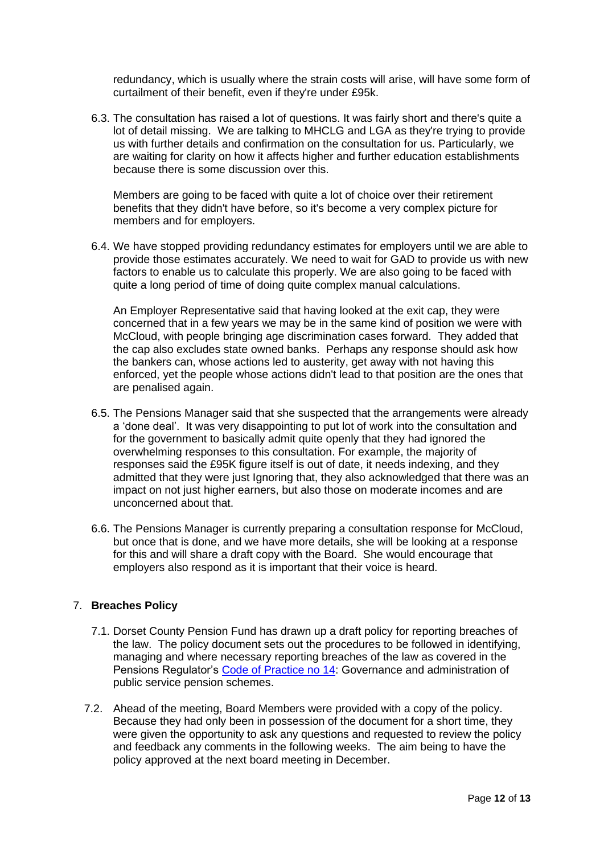redundancy, which is usually where the strain costs will arise, will have some form of curtailment of their benefit, even if they're under £95k.

6.3. The consultation has raised a lot of questions. It was fairly short and there's quite a lot of detail missing. We are talking to MHCLG and LGA as they're trying to provide us with further details and confirmation on the consultation for us. Particularly, we are waiting for clarity on how it affects higher and further education establishments because there is some discussion over this.

Members are going to be faced with quite a lot of choice over their retirement benefits that they didn't have before, so it's become a very complex picture for members and for employers.

6.4. We have stopped providing redundancy estimates for employers until we are able to provide those estimates accurately. We need to wait for GAD to provide us with new factors to enable us to calculate this properly. We are also going to be faced with quite a long period of time of doing quite complex manual calculations.

An Employer Representative said that having looked at the exit cap, they were concerned that in a few years we may be in the same kind of position we were with McCloud, with people bringing age discrimination cases forward. They added that the cap also excludes state owned banks. Perhaps any response should ask how the bankers can, whose actions led to austerity, get away with not having this enforced, yet the people whose actions didn't lead to that position are the ones that are penalised again.

- 6.5. The Pensions Manager said that she suspected that the arrangements were already a 'done deal'. It was very disappointing to put lot of work into the consultation and for the government to basically admit quite openly that they had ignored the overwhelming responses to this consultation. For example, the majority of responses said the £95K figure itself is out of date, it needs indexing, and they admitted that they were just Ignoring that, they also acknowledged that there was an impact on not just higher earners, but also those on moderate incomes and are unconcerned about that.
- 6.6. The Pensions Manager is currently preparing a consultation response for McCloud, but once that is done, and we have more details, she will be looking at a response for this and will share a draft copy with the Board. She would encourage that employers also respond as it is important that their voice is heard.

# 7. **Breaches Policy**

- 7.1. Dorset County Pension Fund has drawn up a draft policy for reporting breaches of the law. The policy document sets out the procedures to be followed in identifying, managing and where necessary reporting breaches of the law as covered in the Pensions Regulator's [Code of Practice no 14:](https://www.thepensionsregulator.gov.uk/en/document-library/codes-of-practice/code-14-public-service-pension-code-of-practice) Governance and administration of public service pension schemes.
- 7.2. Ahead of the meeting, Board Members were provided with a copy of the policy. Because they had only been in possession of the document for a short time, they were given the opportunity to ask any questions and requested to review the policy and feedback any comments in the following weeks. The aim being to have the policy approved at the next board meeting in December.